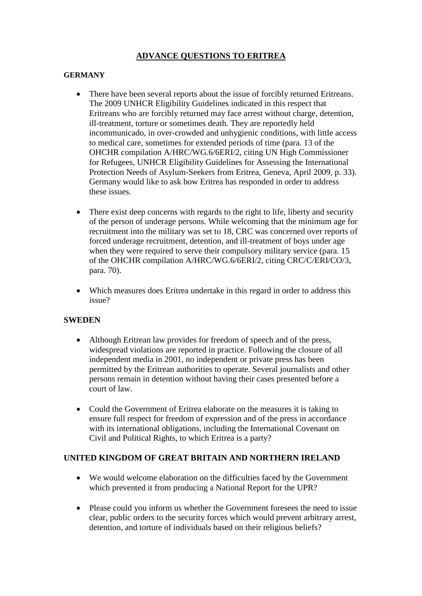## **ADVANCE QUESTIONS TO ERITREA**

## **GERMANY**

- There have been several reports about the issue of forcibly returned Eritreans. The 2009 UNHCR Eligibility Guidelines indicated in this respect that Eritreans who are forcibly returned may face arrest without charge, detention, ill-treatment, torture or sometimes death. They are reportedly held incommunicado, in over-crowded and unhygienic conditions, with little access to medical care, sometimes for extended periods of time (para. 13 of the OHCHR compilation A/HRC/WG.6/6ERI/2, citing UN High Commissioner for Refugees, UNHCR Eligibility Guidelines for Assessing the International Protection Needs of Asylum-Seekers from Eritrea, Geneva, April 2009, p. 33). Germany would like to ask how Eritrea has responded in order to address these issues.
- There exist deep concerns with regards to the right to life, liberty and security of the person of underage persons. While welcoming that the minimum age for recruitment into the military was set to 18, CRC was concerned over reports of forced underage recruitment, detention, and ill-treatment of boys under age when they were required to serve their compulsory military service (para. 15 of the OHCHR compilation A/HRC/WG.6/6ERI/2, citing CRC/C/ERI/CO/3, para. 70).
- Which measures does Eritrea undertake in this regard in order to address this issue?

## **SWEDEN**

- Although Eritrean law provides for freedom of speech and of the press, widespread violations are reported in practice. Following the closure of all independent media in 2001, no independent or private press has been permitted by the Eritrean authorities to operate. Several journalists and other persons remain in detention without having their cases presented before a court of law.
- Could the Government of Eritrea elaborate on the measures it is taking to ensure full respect for freedom of expression and of the press in accordance with its international obligations, including the International Covenant on Civil and Political Rights, to which Eritrea is a party?

## **UNITED KINGDOM OF GREAT BRITAIN AND NORTHERN IRELAND**

- We would welcome elaboration on the difficulties faced by the Government which prevented it from producing a National Report for the UPR?
- Please could you inform us whether the Government foresees the need to issue clear, public orders to the security forces which would prevent arbitrary arrest, detention, and torture of individuals based on their religious beliefs?